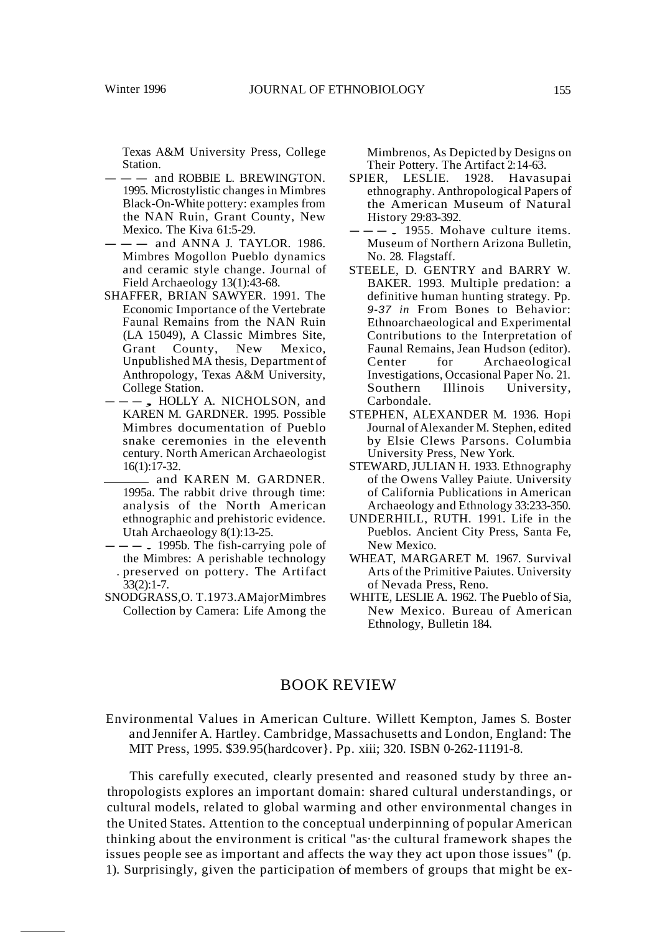Texas A&M University Press, College Station.

- $-$  and ROBBIE L. BREWINGTON. 1995. Microstylistic changes in Mimbres Black-On-White pottery: examples from the NAN Ruin, Grant County, New Mexico. The Kiva 61:5-29.
- $-$  and ANNA J. TAYLOR. 1986. Mimbres Mogollon Pueblo dynamics and ceramic style change. Journal of Field Archaeology 13(1):43-68.
- SHAFFER, BRIAN SAWYER. 1991. The Economic Importance of the Vertebrate Faunal Remains from the NAN Ruin (LA 15049), A Classic Mimbres Site, Grant County, New Mexico, Unpublished MA thesis, Department of Anthropology, Texas A&M University, College Station.
- ---, HOLLY A. NICHOLSON, and KAREN M. GARDNER. 1995. Possible Mimbres documentation of Pueblo snake ceremonies in the eleventh century. North American Archaeologist 16(1):17-32.
	- and KAREN M. GARDNER. 1995a. The rabbit drive through time: analysis of the North American ethnographic and prehistoric evidence. Utah Archaeology 8(1):13-25.
- $---$  . 1995b. The fish-carrying pole of the Mimbres: A perishable technology . preserved on pottery. The Artifact 33(2):1-7.
- SNODGRASS,O. T.1973.AMajorMimbres Collection by Camera: Life Among the

Mimbrenos, As Depicted by Designs on Their Pottery. The Artifact 2:14-63.

- SPIER, LESLIE. 1928. Havasupai ethnography. Anthropological Papers of the American Museum of Natural History 29:83-392.
- $---$ . 1955. Mohave culture items. Museum of Northern Arizona Bulletin, No. 28. Flagstaff.
- STEELE, D. GENTRY and BARRY W. BAKER. 1993. Multiple predation: a definitive human hunting strategy. Pp. 9-37 *in* From Bones to Behavior: Ethnoarchaeological and Experimental Contributions to the Interpretation of Faunal Remains, Jean Hudson (editor). Center for Archaeological Investigations, Occasional Paper No. 21. Southern Illinois University, Carbondale.
- STEPHEN, ALEXANDER M. 1936. Hopi Journal ofAlexander M. Stephen, edited by Elsie Clews Parsons. Columbia University Press, New York.
- STEWARD,JULIAN H. 1933. Ethnography of the Owens Valley Paiute. University of California Publications in American Archaeology and Ethnology 33:233-350.
- UNDERHILL, RUTH. 1991. Life in the Pueblos. Ancient City Press, Santa Fe, New Mexico.
- WHEAT, MARGARET M. 1967. Survival Arts of the Primitive Paiutes. University of Nevada Press, Reno.
- WHITE, LESLIE A. 1962. The Pueblo of Sia, New Mexico. Bureau of American Ethnology, Bulletin 184.

# BOOK REVIEW

Environmental Values in American Culture. Willett Kempton, James S. Boster and Jennifer A. Hartley. Cambridge, Massachusetts and London, England: The MIT Press, 1995. \$39.95(hardcover}. Pp. xiii; 320. ISBN 0-262-11191-8.

This carefully executed, clearly presented and reasoned study by three anthropologists explores an important domain: shared cultural understandings, or cultural models, related to global warming and other environmental changes in the United States. Attention to the conceptual underpinning of popular American thinking about the environment is critical "as· the cultural framework shapes the issues people see as important and affects the way they act upon those issues" (p. 1). Surprisingly, given the participation of members of groups that might be ex-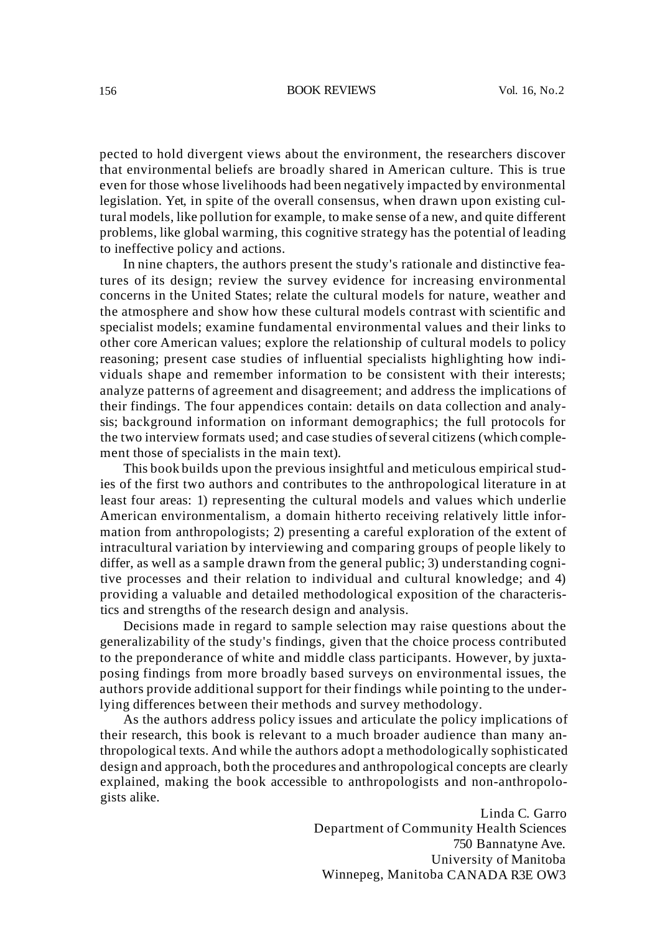#### 156 BOOK REVIEWS Vol. 16, No.2

pected to hold divergent views about the environment, the researchers discover that environmental beliefs are broadly shared in American culture. This is true even for those whose livelihoods had been negatively impacted by environmental legislation. Yet, in spite of the overall consensus, when drawn upon existing cultural models, like pollution for example, to make sense of a new, and quite different problems, like global warming, this cognitive strategy has the potential of leading to ineffective policy and actions.

In nine chapters, the authors present the study's rationale and distinctive features of its design; review the survey evidence for increasing environmental concerns in the United States; relate the cultural models for nature, weather and the atmosphere and show how these cultural models contrast with scientific and specialist models; examine fundamental environmental values and their links to other core American values; explore the relationship of cultural models to policy reasoning; present case studies of influential specialists highlighting how individuals shape and remember information to be consistent with their interests; analyze patterns of agreement and disagreement; and address the implications of their findings. The four appendices contain: details on data collection and analysis; background information on informant demographics; the full protocols for the two interview formats used; and case studies of several citizens (which complement those of specialists in the main text).

This book builds upon the previous insightful and meticulous empirical studies of the first two authors and contributes to the anthropological literature in at least four areas: 1) representing the cultural models and values which underlie American environmentalism, a domain hitherto receiving relatively little information from anthropologists; 2) presenting a careful exploration of the extent of intracultural variation by interviewing and comparing groups of people likely to differ, as well as a sample drawn from the general public; 3) understanding cognitive processes and their relation to individual and cultural knowledge; and 4) providing a valuable and detailed methodological exposition of the characteristics and strengths of the research design and analysis.

Decisions made in regard to sample selection may raise questions about the generalizability of the study's findings, given that the choice process contributed to the preponderance of white and middle class participants. However, by juxtaposing findings from more broadly based surveys on environmental issues, the authors provide additional support for their findings while pointing to the underlying differences between their methods and survey methodology.

As the authors address policy issues and articulate the policy implications of their research, this book is relevant to a much broader audience than many anthropological texts. And while the authors adopt a methodologically sophisticated design and approach, both the procedures and anthropological concepts are clearly explained, making the book accessible to anthropologists and non-anthropologists alike.

> Linda C. Garro Department of Community Health Sciences 750 Bannatyne Ave. University of Manitoba Winnepeg, Manitoba CANADA R3E OW3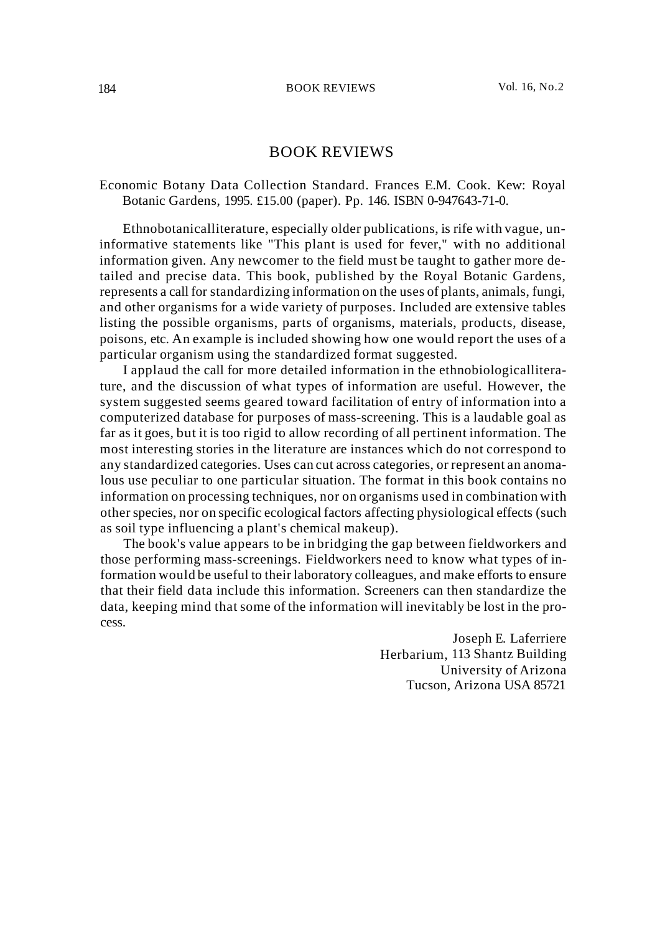# BOOK REVIEWS

## Economic Botany Data Collection Standard. Frances E.M. Cook. Kew: Royal Botanic Gardens, 1995. £15.00 (paper). Pp. 146. ISBN 0-947643-71-0.

Ethnobotanicalliterature, especially older publications, is rife with vague, uninformative statements like "This plant is used for fever," with no additional information given. Any newcomer to the field must be taught to gather more detailed and precise data. This book, published by the Royal Botanic Gardens, represents a call for standardizing information on the uses of plants, animals, fungi, and other organisms for a wide variety of purposes. Included are extensive tables listing the possible organisms, parts of organisms, materials, products, disease, poisons, etc. An example is included showing how one would report the uses of a particular organism using the standardized format suggested.

I applaud the call for more detailed information in the ethnobiologicalliterature, and the discussion of what types of information are useful. However, the system suggested seems geared toward facilitation of entry of information into a computerized database for purposes of mass-screening. This is a laudable goal as far as it goes, but it is too rigid to allow recording of all pertinent information. The most interesting stories in the literature are instances which do not correspond to any standardized categories. Uses can cut across categories, or represent an anomalous use peculiar to one particular situation. The format in this book contains no information on processing techniques, nor on organisms used in combination with other species, nor on specific ecological factors affecting physiological effects (such as soil type influencing a plant's chemical makeup).

The book's value appears to be in bridging the gap between fieldworkers and those performing mass-screenings. Fieldworkers need to know what types of information would be useful to their laboratory colleagues, and make efforts to ensure that their field data include this information. Screeners can then standardize the data, keeping mind that some of the information will inevitably be lost in the process.

> Joseph E. Laferriere Herbarium, 113 Shantz Building University of Arizona Tucson, Arizona USA 85721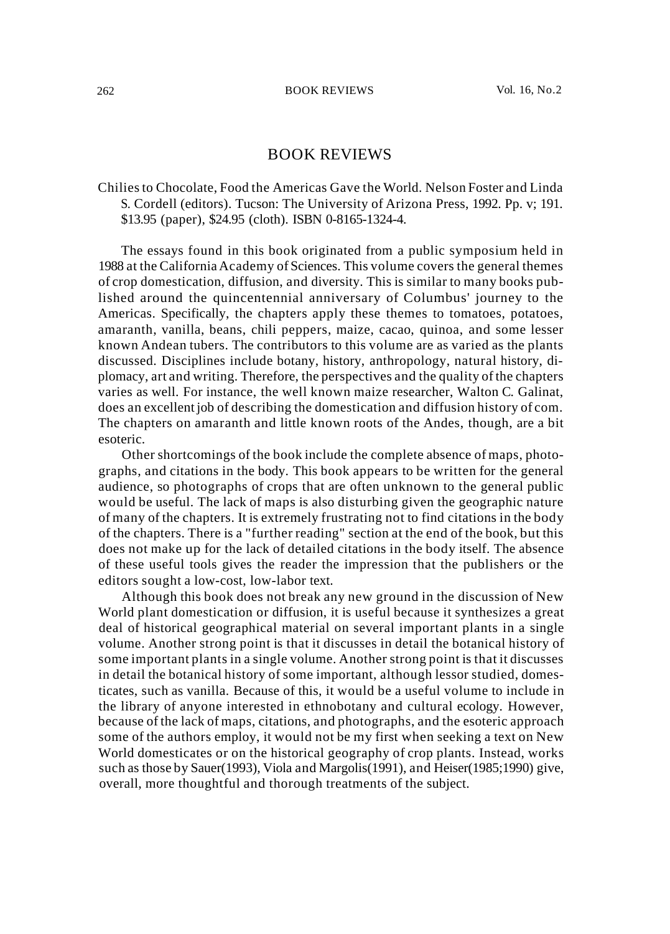# BOOK REVIEWS

## Chiliesto Chocolate, Food the Americas Gave the World. Nelson Foster and Linda S. Cordell (editors). Tucson: The University of Arizona Press, 1992. Pp. v; 191. \$13.95 (paper), \$24.95 (cloth). ISBN 0-8165-1324-4.

The essays found in this book originated from a public symposium held in 1988 at the CaliforniaAcademy of Sciences. This volume covers the general themes of crop domestication, diffusion, and diversity. This is similar to many books published around the quincentennial anniversary of Columbus' journey to the Americas. Specifically, the chapters apply these themes to tomatoes, potatoes, amaranth, vanilla, beans, chili peppers, maize, cacao, quinoa, and some lesser known Andean tubers. The contributors to this volume are as varied as the plants discussed. Disciplines include botany, history, anthropology, natural history, diplomacy, art and writing. Therefore, the perspectives and the quality of the chapters varies as well. For instance, the well known maize researcher, Walton C. Galinat, does an excellent job of describing the domestication and diffusion history of com. The chapters on amaranth and little known roots of the Andes, though, are a bit esoteric.

Other shortcomings of the book include the complete absence of maps, photographs, and citations in the body. This book appears to be written for the general audience, so photographs of crops that are often unknown to the general public would be useful. The lack of maps is also disturbing given the geographic nature of many of the chapters. It is extremely frustrating not to find citations in the body of the chapters. There is a "further reading" section at the end of the book, but this does not make up for the lack of detailed citations in the body itself. The absence of these useful tools gives the reader the impression that the publishers or the editors sought a low-cost, low-labor text.

Although this book does not break any new ground in the discussion of New World plant domestication or diffusion, it is useful because it synthesizes a great deal of historical geographical material on several important plants in a single volume. Another strong point is that it discusses in detail the botanical history of some important plants in a single volume. Another strong point is that it discusses in detail the botanical history of some important, although lessor studied, domesticates, such as vanilla. Because of this, it would be a useful volume to include in the library of anyone interested in ethnobotany and cultural ecology. However, because of the lack of maps, citations, and photographs, and the esoteric approach some of the authors employ, it would not be my first when seeking a text on New World domesticates or on the historical geography of crop plants. Instead, works such as those by Sauer(1993), Viola and Margolis(1991), and Heiser(1985;1990) give, overall, more thoughtful and thorough treatments of the subject.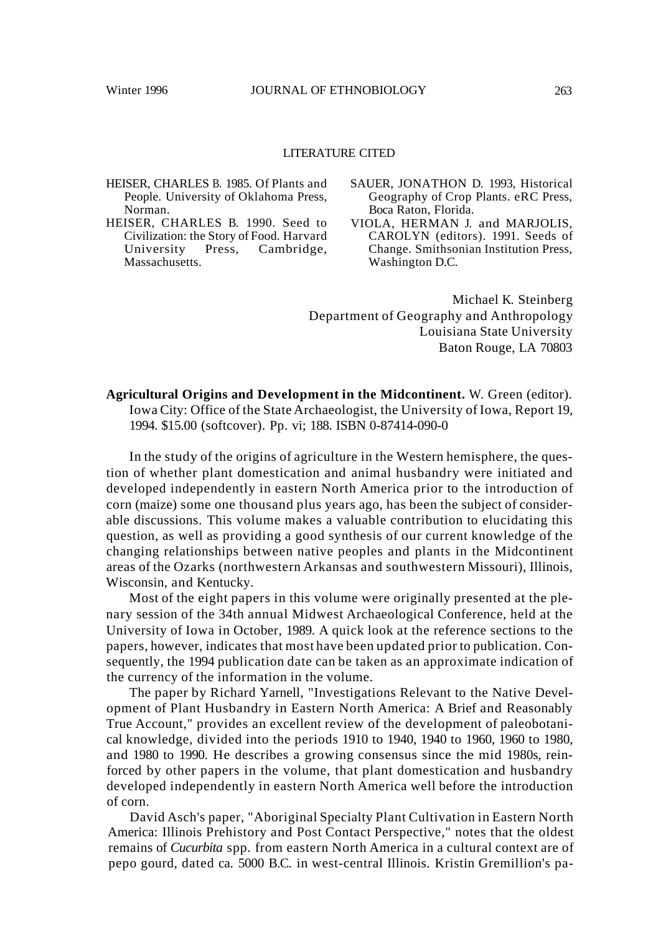### LITERATURE CITED

- HEISER, CHARLES B. 1985. Of Plants and People. University of Oklahoma Press, Norman.
- HEISER, CHARLES B. 1990. Seed to Civilization: the Story of Food. Harvard<br>University Press, Cambridge, Cambridge, Massachusetts.
- SAUER, JONATHON D. 1993, Historical Geography of Crop Plants. eRC Press, Boca Raton, Florida.
- VIOLA, HERMAN J. and MARJOLIS, CAROLYN (editors). 1991. Seeds of Change. Smithsonian Institution Press, Washington D.C.

Michael K. Steinberg Department of Geography and Anthropology Louisiana State University Baton Rouge, LA 70803

**Agricultural Origins and Development in the Midcontinent.** W. Green (editor). Iowa City: Office of the State Archaeologist, the University of Iowa, Report 19, 1994. \$15.00 (softcover). Pp. vi; 188. ISBN 0-87414-090-0

In the study of the origins of agriculture in the Western hemisphere, the question of whether plant domestication and animal husbandry were initiated and developed independently in eastern North America prior to the introduction of corn (maize) some one thousand plus years ago, has been the subject of considerable discussions. This volume makes a valuable contribution to elucidating this question, as well as providing a good synthesis of our current knowledge of the changing relationships between native peoples and plants in the Midcontinent areas of the Ozarks (northwestern Arkansas and southwestern Missouri), Illinois, Wisconsin, and Kentucky.

Most of the eight papers in this volume were originally presented at the plenary session of the 34th annual Midwest Archaeological Conference, held at the University of Iowa in October, 1989. A quick look at the reference sections to the papers, however, indicates that most have been updated prior to publication. Consequently, the 1994 publication date can be taken as an approximate indication of the currency of the information in the volume.

The paper by Richard Yarnell, "Investigations Relevant to the Native Development of Plant Husbandry in Eastern North America: A Brief and Reasonably True Account," provides an excellent review of the development of paleobotanical knowledge, divided into the periods 1910 to 1940, 1940 to 1960, 1960 to 1980, and 1980 to 1990. He describes a growing consensus since the mid 1980s, reinforced by other papers in the volume, that plant domestication and husbandry developed independently in eastern North America well before the introduction of corn.

David Asch's paper, "Aboriginal Specialty Plant Cultivation in Eastern North America: Illinois Prehistory and Post Contact Perspective," notes that the oldest remains of *Cucurbita* spp. from eastern North America in a cultural context are of pepo gourd, dated ca. 5000 B.C. in west-central Illinois. Kristin Gremillion's pa-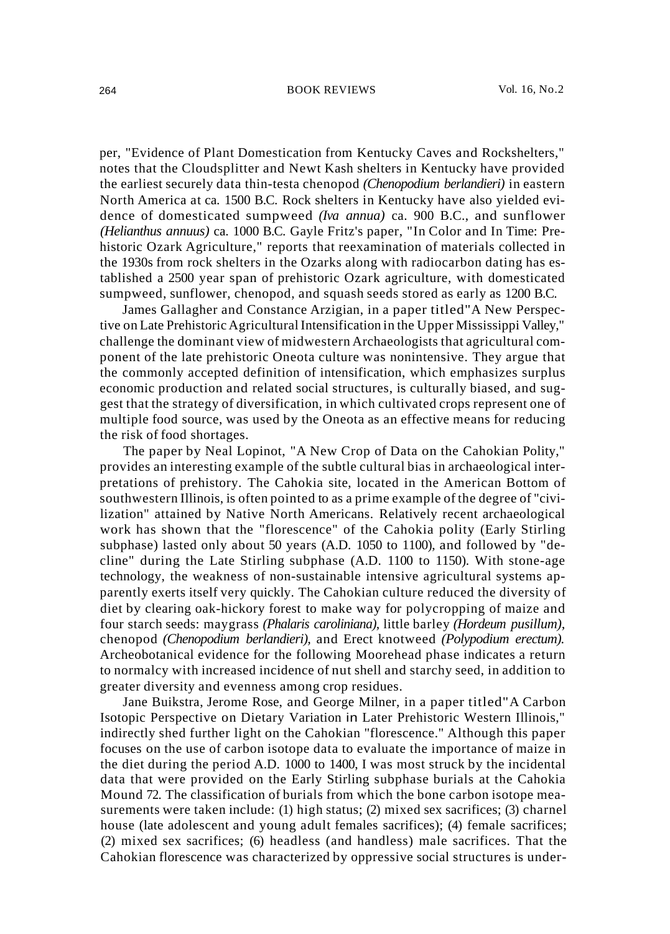#### 264 BOOK REVIEWS Vol. 16, No.2

per, "Evidence of Plant Domestication from Kentucky Caves and Rockshelters," notes that the Cloudsplitter and Newt Kash shelters in Kentucky have provided the earliest securely data thin-testa chenopod *(Chenopodium berlandieri)* in eastern North America at ca. 1500 B.C. Rock shelters in Kentucky have also yielded evidence of domesticated sumpweed *(Iva annua)* ca. 900 B.C., and sunflower *(Helianthus annuus)* ca. 1000 B.C. Gayle Fritz's paper, "In Color and In Time: Prehistoric Ozark Agriculture," reports that reexamination of materials collected in the 1930s from rock shelters in the Ozarks along with radiocarbon dating has established a 2500 year span of prehistoric Ozark agriculture, with domesticated sumpweed, sunflower, chenopod, and squash seeds stored as early as 1200 B.C.

James Gallagher and Constance Arzigian, in a paper titled"A New Perspective on Late Prehistoric Agricultural Intensification in the Upper Mississippi Valley," challenge the dominant view of midwestern Archaeologists that agricultural component of the late prehistoric Oneota culture was nonintensive. They argue that the commonly accepted definition of intensification, which emphasizes surplus economic production and related social structures, is culturally biased, and suggest that the strategy of diversification, in which cultivated crops represent one of multiple food source, was used by the Oneota as an effective means for reducing the risk of food shortages.

The paper by Neal Lopinot, "A New Crop of Data on the Cahokian Polity," provides an interesting example of the subtle cultural bias in archaeological interpretations of prehistory. The Cahokia site, located in the American Bottom of southwestern Illinois, is often pointed to as a prime example of the degree of "civilization" attained by Native North Americans. Relatively recent archaeological work has shown that the "florescence" of the Cahokia polity (Early Stirling subphase) lasted only about 50 years (A.D. 1050 to 1100), and followed by "decline" during the Late Stirling subphase (A.D. 1100 to 1150). With stone-age technology, the weakness of non-sustainable intensive agricultural systems apparently exerts itself very quickly. The Cahokian culture reduced the diversity of diet by clearing oak-hickory forest to make way for polycropping of maize and four starch seeds: maygrass *(Phalaris caroliniana),* little barley *(Hordeum pusillum),* chenopod *(Chenopodium berlandieri),* and Erect knotweed *(Polypodium erectum).* Archeobotanical evidence for the following Moorehead phase indicates a return to normalcy with increased incidence of nut shell and starchy seed, in addition to greater diversity and evenness among crop residues.

Jane Buikstra, Jerome Rose, and George Milner, in a paper titled"A Carbon Isotopic Perspective on Dietary Variation in Later Prehistoric Western Illinois," indirectly shed further light on the Cahokian "florescence." Although this paper focuses on the use of carbon isotope data to evaluate the importance of maize in the diet during the period A.D. 1000 to 1400, I was most struck by the incidental data that were provided on the Early Stirling subphase burials at the Cahokia Mound 72. The classification of burials from which the bone carbon isotope measurements were taken include: (1) high status; (2) mixed sex sacrifices; (3) charnel house (late adolescent and young adult females sacrifices); (4) female sacrifices; (2) mixed sex sacrifices; (6) headless (and handless) male sacrifices. That the Cahokian florescence was characterized by oppressive social structures is under-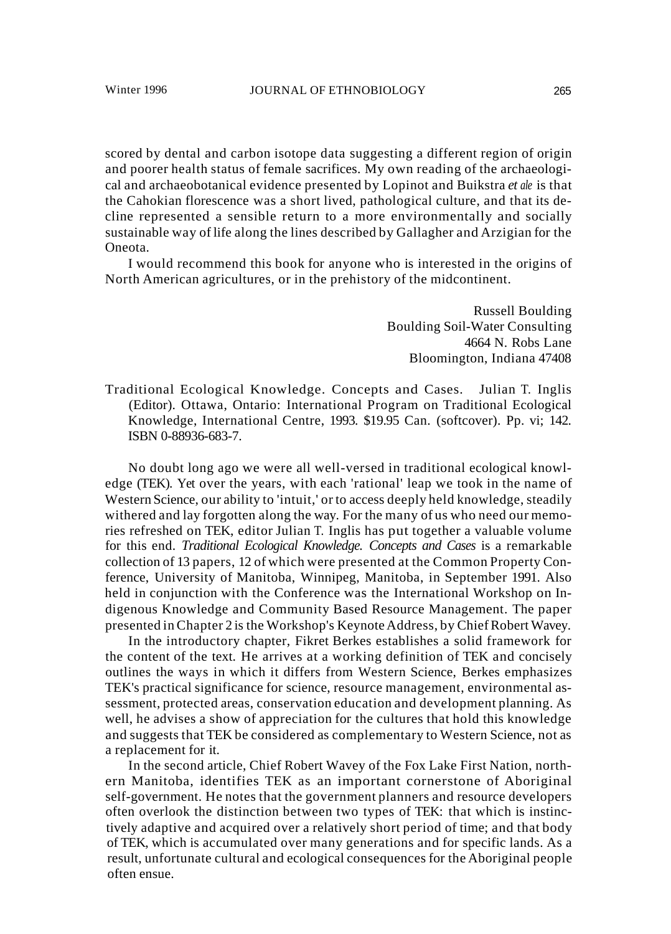scored by dental and carbon isotope data suggesting a different region of origin and poorer health status of female sacrifices. My own reading of the archaeological and archaeobotanical evidence presented by Lopinot and Buikstra *et ale* is that the Cahokian florescence was a short lived, pathological culture, and that its decline represented a sensible return to a more environmentally and socially sustainable way of life along the lines described by Gallagher and Arzigian for the Oneota.

I would recommend this book for anyone who is interested in the origins of North American agricultures, or in the prehistory of the midcontinent.

> Russell Boulding Boulding Soil-Water Consulting 4664 N. Robs Lane Bloomington, Indiana 47408

Traditional Ecological Knowledge. Concepts and Cases. Julian T. Inglis (Editor). Ottawa, Ontario: International Program on Traditional Ecological Knowledge, International Centre, 1993. \$19.95 Can. (softcover). Pp. vi; 142. ISBN 0-88936-683-7.

No doubt long ago we were all well-versed in traditional ecological knowledge (TEK). Yet over the years, with each 'rational' leap we took in the name of Western Science, our ability to 'intuit,' or to access deeply held knowledge, steadily withered and lay forgotten along the way. For the many of us who need our memories refreshed on TEK, editor Julian T. Inglis has put together a valuable volume for this end. *Traditional Ecological Knowledge. Concepts and Cases* is a remarkable collection of 13 papers, 12 of which were presented at the Common Property Conference, University of Manitoba, Winnipeg, Manitoba, in September 1991. Also held in conjunction with the Conference was the International Workshop on Indigenous Knowledge and Community Based Resource Management. The paper presented in Chapter 2 is the Workshop's Keynote Address, by Chief Robert Wavey.

In the introductory chapter, Fikret Berkes establishes a solid framework for the content of the text. He arrives at a working definition of TEK and concisely outlines the ways in which it differs from Western Science, Berkes emphasizes TEK's practical significance for science, resource management, environmental assessment, protected areas, conservation education and development planning. As well, he advises a show of appreciation for the cultures that hold this knowledge and suggests that TEK be considered as complementary to Western Science, not as a replacement for it.

In the second article, Chief Robert Wavey of the Fox Lake First Nation, northern Manitoba, identifies TEK as an important cornerstone of Aboriginal self-government. He notes that the government planners and resource developers often overlook the distinction between two types of TEK: that which is instinctively adaptive and acquired over a relatively short period of time; and that body of TEK, which is accumulated over many generations and for specific lands. As a result, unfortunate cultural and ecological consequences for the Aboriginal people often ensue.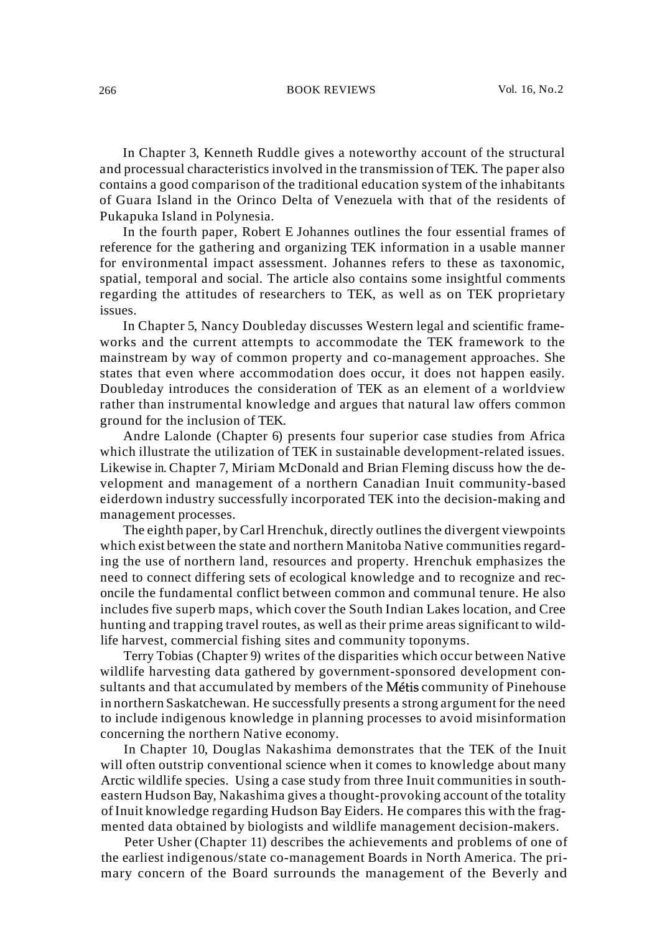#### 266 BOOK REVIEWS Vol. 16, No.2

In Chapter 3, Kenneth Ruddle gives a noteworthy account of the structural and processual characteristics involved in the transmission of TEK. The paper also contains a good comparison of the traditional education system of the inhabitants of Guara Island in the Orinco Delta of Venezuela with that of the residents of Pukapuka Island in Polynesia.

In the fourth paper, Robert E Johannes outlines the four essential frames of reference for the gathering and organizing TEK information in a usable manner for environmental impact assessment. Johannes refers to these as taxonomic, spatial, temporal and social. The article also contains some insightful comments regarding the attitudes of researchers to TEK, as well as on TEK proprietary issues.

In Chapter 5, Nancy Doubleday discusses Western legal and scientific frameworks and the current attempts to accommodate the TEK framework to the mainstream by way of common property and co-management approaches. She states that even where accommodation does occur, it does not happen easily. Doubleday introduces the consideration of TEK as an element of a worldview rather than instrumental knowledge and argues that natural law offers common ground for the inclusion of TEK.

Andre Lalonde (Chapter 6) presents four superior case studies from Africa which illustrate the utilization of TEK in sustainable development-related issues. Likewise in. Chapter 7, Miriam McDonald and Brian Fleming discuss how the development and management of a northern Canadian Inuit community-based eiderdown industry successfully incorporated TEK into the decision-making and management processes.

The eighth paper, byCarl Hrenchuk, directly outlines the divergent viewpoints which exist between the state and northern Manitoba Native communities regarding the use of northern land, resources and property. Hrenchuk emphasizes the need to connect differing sets of ecological knowledge and to recognize and reconcile the fundamental conflict between common and communal tenure. He also includes five superb maps, which cover the South Indian Lakes location, and Cree hunting and trapping travel routes, as well as their prime areas significant to wildlife harvest, commercial fishing sites and community toponyms.

Terry Tobias (Chapter 9) writes of the disparities which occur between Native wildlife harvesting data gathered by government-sponsored development consultants and that accumulated by members of the Métis community of Pinehouse in northern Saskatchewan. He successfully presents a strong argument for the need to include indigenous knowledge in planning processes to avoid misinformation concerning the northern Native economy.

In Chapter 10, Douglas Nakashima demonstrates that the TEK of the Inuit will often outstrip conventional science when it comes to knowledge about many Arctic wildlife species. Using a case study from three Inuit communities in southeastern Hudson Bay, Nakashima gives a thought-provoking account of the totality of Inuit knowledge regarding Hudson Bay Eiders. He compares this with the fragmented data obtained by biologists and wildlife management decision-makers.

Peter Usher (Chapter 11) describes the achievements and problems of one of the earliest indigenous/state co-management Boards in North America. The primary concern of the Board surrounds the management of the Beverly and